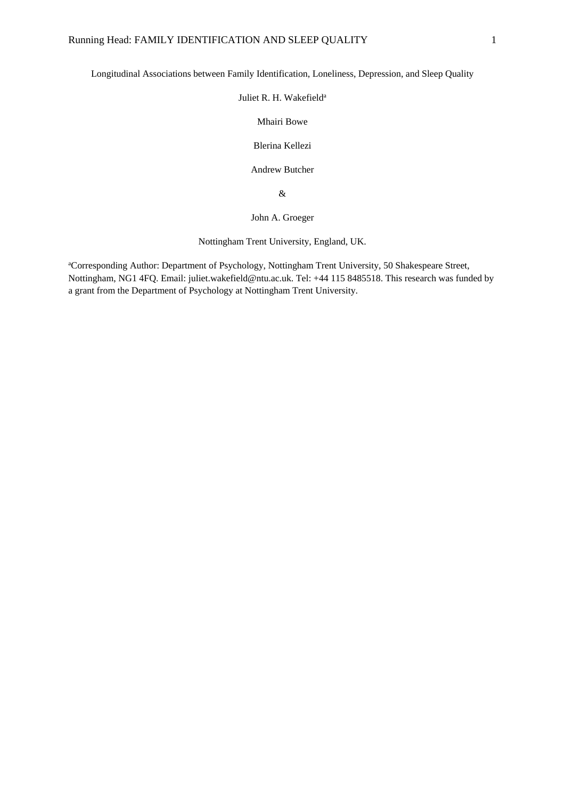Longitudinal Associations between Family Identification, Loneliness, Depression, and Sleep Quality

## Juliet R. H. Wakefield<sup>a</sup>

Mhairi Bowe

Blerina Kellezi

Andrew Butcher

&

John A. Groeger

Nottingham Trent University, England, UK.

<sup>a</sup>Corresponding Author: Department of Psychology, Nottingham Trent University, 50 Shakespeare Street, Nottingham, NG1 4FQ. Email: juliet.wakefield@ntu.ac.uk. Tel: +44 115 8485518. This research was funded by a grant from the Department of Psychology at Nottingham Trent University.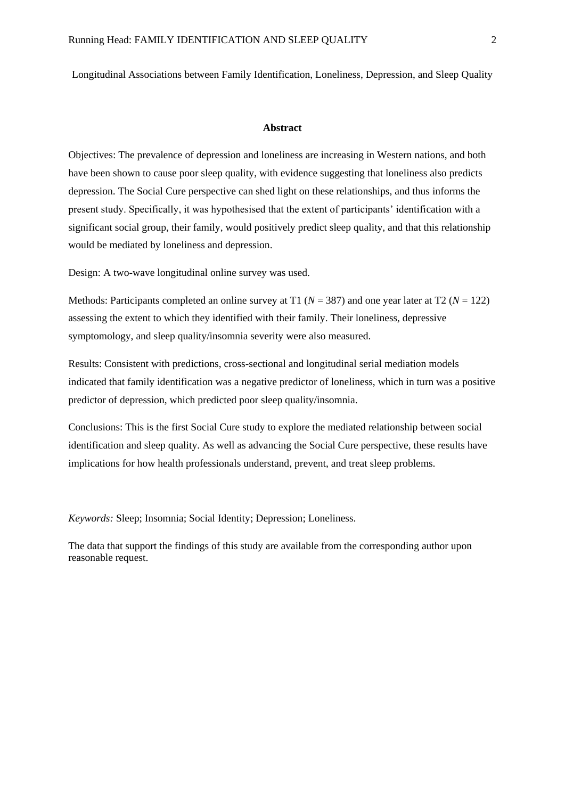Longitudinal Associations between Family Identification, Loneliness, Depression, and Sleep Quality

#### **Abstract**

Objectives: The prevalence of depression and loneliness are increasing in Western nations, and both have been shown to cause poor sleep quality, with evidence suggesting that loneliness also predicts depression. The Social Cure perspective can shed light on these relationships, and thus informs the present study. Specifically, it was hypothesised that the extent of participants' identification with a significant social group, their family, would positively predict sleep quality, and that this relationship would be mediated by loneliness and depression.

Design: A two-wave longitudinal online survey was used.

Methods: Participants completed an online survey at T1 (*N* = 387) and one year later at T2 (*N* = 122) assessing the extent to which they identified with their family. Their loneliness, depressive symptomology, and sleep quality/insomnia severity were also measured.

Results: Consistent with predictions, cross-sectional and longitudinal serial mediation models indicated that family identification was a negative predictor of loneliness, which in turn was a positive predictor of depression, which predicted poor sleep quality/insomnia.

Conclusions: This is the first Social Cure study to explore the mediated relationship between social identification and sleep quality. As well as advancing the Social Cure perspective, these results have implications for how health professionals understand, prevent, and treat sleep problems.

*Keywords:* Sleep; Insomnia; Social Identity; Depression; Loneliness.

The data that support the findings of this study are available from the corresponding author upon reasonable request.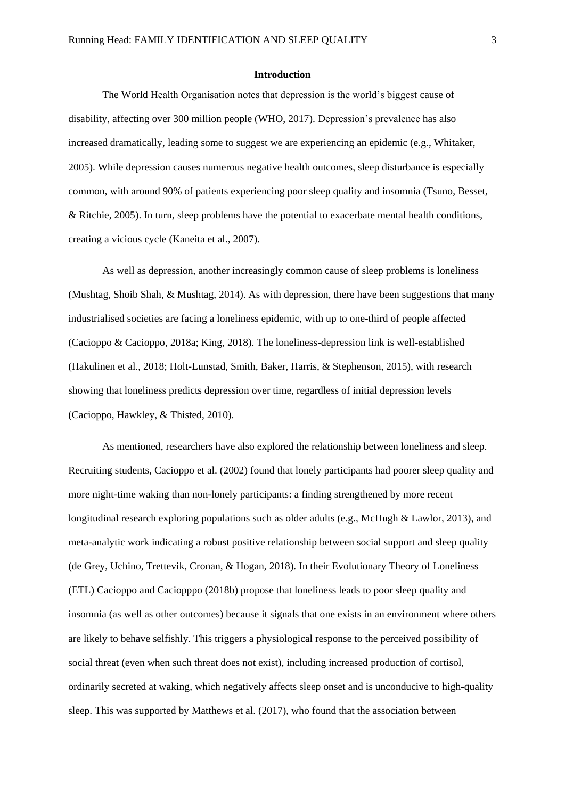#### **Introduction**

The World Health Organisation notes that depression is the world's biggest cause of disability, affecting over 300 million people (WHO, 2017). Depression's prevalence has also increased dramatically, leading some to suggest we are experiencing an epidemic (e.g., Whitaker, 2005). While depression causes numerous negative health outcomes, sleep disturbance is especially common, with around 90% of patients experiencing poor sleep quality and insomnia (Tsuno, Besset, & Ritchie, 2005). In turn, sleep problems have the potential to exacerbate mental health conditions, creating a vicious cycle (Kaneita et al., 2007).

As well as depression, another increasingly common cause of sleep problems is loneliness (Mushtag, Shoib Shah, & Mushtag, 2014). As with depression, there have been suggestions that many industrialised societies are facing a loneliness epidemic, with up to one-third of people affected (Cacioppo & Cacioppo, 2018a; King, 2018). The loneliness-depression link is well-established (Hakulinen et al., 2018; Holt-Lunstad, Smith, Baker, Harris, & Stephenson, 2015), with research showing that loneliness predicts depression over time, regardless of initial depression levels (Cacioppo, Hawkley, & Thisted, 2010).

As mentioned, researchers have also explored the relationship between loneliness and sleep. Recruiting students, Cacioppo et al. (2002) found that lonely participants had poorer sleep quality and more night-time waking than non-lonely participants: a finding strengthened by more recent longitudinal research exploring populations such as older adults (e.g., McHugh & Lawlor, 2013), and meta-analytic work indicating a robust positive relationship between social support and sleep quality (de Grey, Uchino, Trettevik, Cronan, & Hogan, 2018). In their Evolutionary Theory of Loneliness (ETL) Cacioppo and Caciopppo (2018b) propose that loneliness leads to poor sleep quality and insomnia (as well as other outcomes) because it signals that one exists in an environment where others are likely to behave selfishly. This triggers a physiological response to the perceived possibility of social threat (even when such threat does not exist), including increased production of cortisol, ordinarily secreted at waking, which negatively affects sleep onset and is unconducive to high-quality sleep. This was supported by Matthews et al. (2017), who found that the association between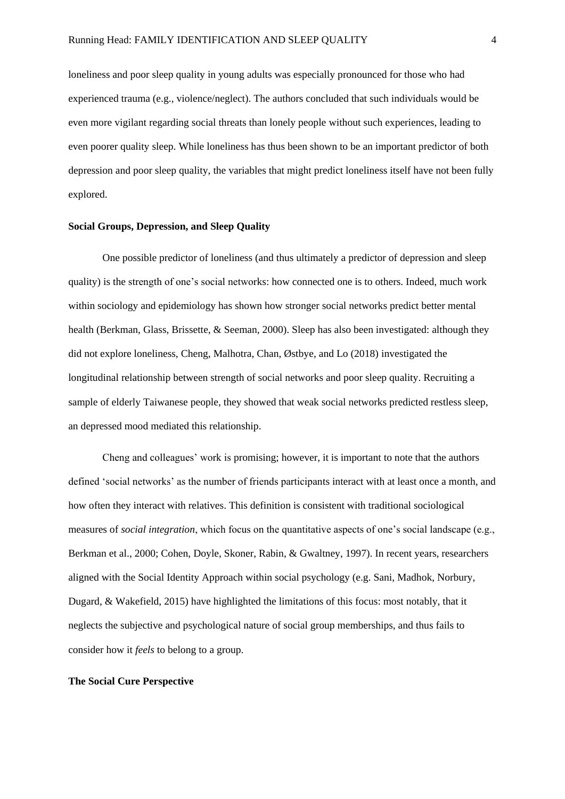loneliness and poor sleep quality in young adults was especially pronounced for those who had experienced trauma (e.g., violence/neglect). The authors concluded that such individuals would be even more vigilant regarding social threats than lonely people without such experiences, leading to even poorer quality sleep. While loneliness has thus been shown to be an important predictor of both depression and poor sleep quality, the variables that might predict loneliness itself have not been fully explored.

## **Social Groups, Depression, and Sleep Quality**

One possible predictor of loneliness (and thus ultimately a predictor of depression and sleep quality) is the strength of one's social networks: how connected one is to others. Indeed, much work within sociology and epidemiology has shown how stronger social networks predict better mental health (Berkman, Glass, Brissette, & Seeman, 2000). Sleep has also been investigated: although they did not explore loneliness, Cheng, Malhotra, Chan, Østbye, and Lo (2018) investigated the longitudinal relationship between strength of social networks and poor sleep quality. Recruiting a sample of elderly Taiwanese people, they showed that weak social networks predicted restless sleep, an depressed mood mediated this relationship.

Cheng and colleagues' work is promising; however, it is important to note that the authors defined 'social networks' as the number of friends participants interact with at least once a month, and how often they interact with relatives. This definition is consistent with traditional sociological measures of *social integration*, which focus on the quantitative aspects of one's social landscape (e.g., Berkman et al., 2000; Cohen, Doyle, Skoner, Rabin, & Gwaltney, 1997). In recent years, researchers aligned with the Social Identity Approach within social psychology (e.g. Sani, Madhok, Norbury, Dugard, & Wakefield, 2015) have highlighted the limitations of this focus: most notably, that it neglects the subjective and psychological nature of social group memberships, and thus fails to consider how it *feels* to belong to a group.

## **The Social Cure Perspective**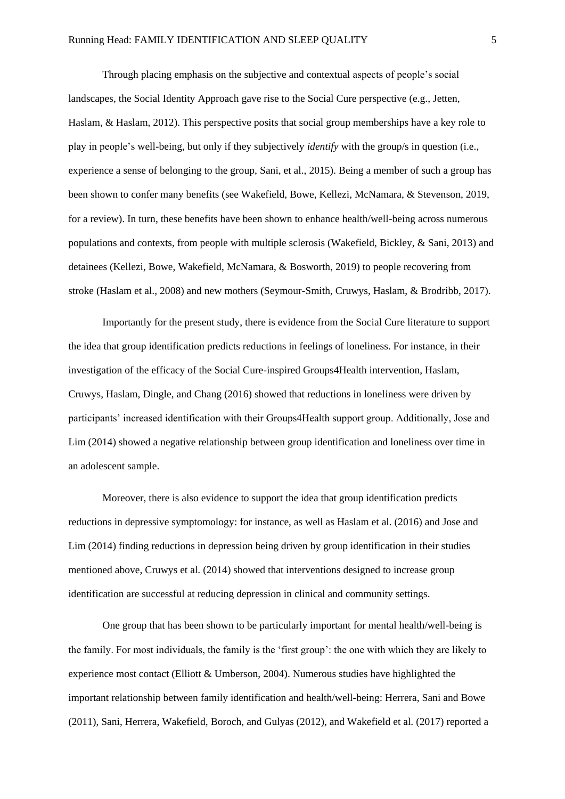Through placing emphasis on the subjective and contextual aspects of people's social landscapes, the Social Identity Approach gave rise to the Social Cure perspective (e.g., Jetten, Haslam, & Haslam, 2012). This perspective posits that social group memberships have a key role to play in people's well-being, but only if they subjectively *identify* with the group/s in question (i.e., experience a sense of belonging to the group, Sani, et al., 2015). Being a member of such a group has been shown to confer many benefits (see Wakefield, Bowe, Kellezi, McNamara, & Stevenson, 2019, for a review). In turn, these benefits have been shown to enhance health/well-being across numerous populations and contexts, from people with multiple sclerosis (Wakefield, Bickley, & Sani, 2013) and detainees (Kellezi, Bowe, Wakefield, McNamara, & Bosworth, 2019) to people recovering from stroke (Haslam et al., 2008) and new mothers (Seymour-Smith, Cruwys, Haslam, & Brodribb, 2017).

Importantly for the present study, there is evidence from the Social Cure literature to support the idea that group identification predicts reductions in feelings of loneliness. For instance, in their investigation of the efficacy of the Social Cure-inspired Groups4Health intervention, Haslam, Cruwys, Haslam, Dingle, and Chang (2016) showed that reductions in loneliness were driven by participants' increased identification with their Groups4Health support group. Additionally, Jose and Lim (2014) showed a negative relationship between group identification and loneliness over time in an adolescent sample.

Moreover, there is also evidence to support the idea that group identification predicts reductions in depressive symptomology: for instance, as well as Haslam et al. (2016) and Jose and Lim (2014) finding reductions in depression being driven by group identification in their studies mentioned above, Cruwys et al. (2014) showed that interventions designed to increase group identification are successful at reducing depression in clinical and community settings.

One group that has been shown to be particularly important for mental health/well-being is the family. For most individuals, the family is the 'first group': the one with which they are likely to experience most contact (Elliott & Umberson, 2004). Numerous studies have highlighted the important relationship between family identification and health/well-being: Herrera, Sani and Bowe (2011), Sani, Herrera, Wakefield, Boroch, and Gulyas (2012), and Wakefield et al. (2017) reported a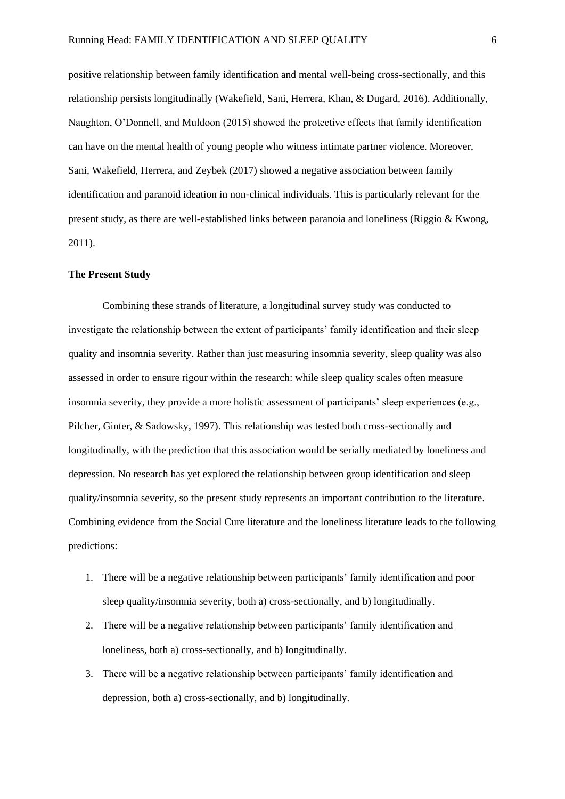positive relationship between family identification and mental well-being cross-sectionally, and this relationship persists longitudinally (Wakefield, Sani, Herrera, Khan, & Dugard, 2016). Additionally, Naughton, O'Donnell, and Muldoon (2015) showed the protective effects that family identification can have on the mental health of young people who witness intimate partner violence. Moreover, Sani, Wakefield, Herrera, and Zeybek (2017) showed a negative association between family identification and paranoid ideation in non-clinical individuals. This is particularly relevant for the present study, as there are well-established links between paranoia and loneliness (Riggio & Kwong, 2011).

### **The Present Study**

Combining these strands of literature, a longitudinal survey study was conducted to investigate the relationship between the extent of participants' family identification and their sleep quality and insomnia severity. Rather than just measuring insomnia severity, sleep quality was also assessed in order to ensure rigour within the research: while sleep quality scales often measure insomnia severity, they provide a more holistic assessment of participants' sleep experiences (e.g., Pilcher, Ginter, & Sadowsky, 1997). This relationship was tested both cross-sectionally and longitudinally, with the prediction that this association would be serially mediated by loneliness and depression. No research has yet explored the relationship between group identification and sleep quality/insomnia severity, so the present study represents an important contribution to the literature. Combining evidence from the Social Cure literature and the loneliness literature leads to the following predictions:

- 1. There will be a negative relationship between participants' family identification and poor sleep quality/insomnia severity, both a) cross-sectionally, and b) longitudinally.
- 2. There will be a negative relationship between participants' family identification and loneliness, both a) cross-sectionally, and b) longitudinally.
- 3. There will be a negative relationship between participants' family identification and depression, both a) cross-sectionally, and b) longitudinally.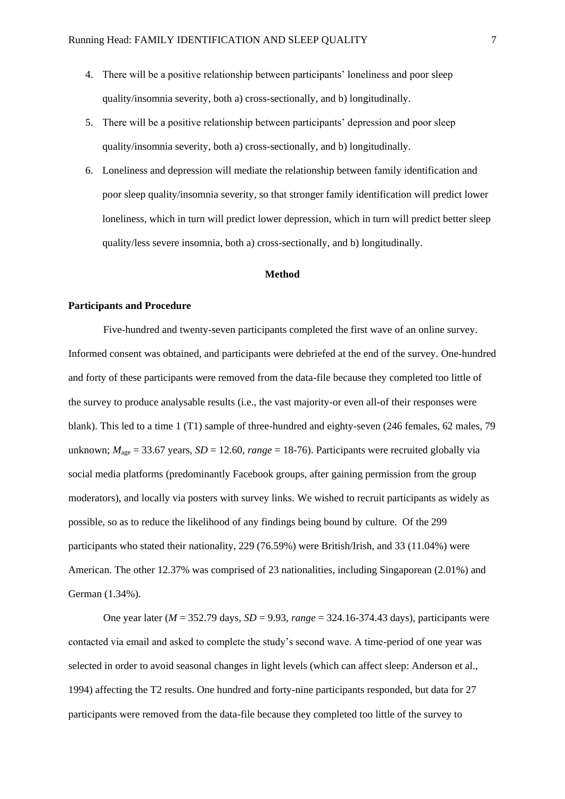- 4. There will be a positive relationship between participants' loneliness and poor sleep quality/insomnia severity, both a) cross-sectionally, and b) longitudinally.
- 5. There will be a positive relationship between participants' depression and poor sleep quality/insomnia severity, both a) cross-sectionally, and b) longitudinally.
- 6. Loneliness and depression will mediate the relationship between family identification and poor sleep quality/insomnia severity, so that stronger family identification will predict lower loneliness, which in turn will predict lower depression, which in turn will predict better sleep quality/less severe insomnia, both a) cross-sectionally, and b) longitudinally.

## **Method**

## **Participants and Procedure**

Five-hundred and twenty-seven participants completed the first wave of an online survey. Informed consent was obtained, and participants were debriefed at the end of the survey. One-hundred and forty of these participants were removed from the data-file because they completed too little of the survey to produce analysable results (i.e., the vast majority-or even all-of their responses were blank). This led to a time 1 (T1) sample of three-hundred and eighty-seven (246 females, 62 males, 79 unknown;  $M_{\text{age}} = 33.67$  years,  $SD = 12.60$ ,  $range = 18-76$ ). Participants were recruited globally via social media platforms (predominantly Facebook groups, after gaining permission from the group moderators), and locally via posters with survey links. We wished to recruit participants as widely as possible, so as to reduce the likelihood of any findings being bound by culture. Of the 299 participants who stated their nationality, 229 (76.59%) were British/Irish, and 33 (11.04%) were American. The other 12.37% was comprised of 23 nationalities, including Singaporean (2.01%) and German (1.34%).

One year later (*M* = 352.79 days, *SD* = 9.93, *range* = 324.16-374.43 days), participants were contacted via email and asked to complete the study's second wave. A time-period of one year was selected in order to avoid seasonal changes in light levels (which can affect sleep: Anderson et al., 1994) affecting the T2 results. One hundred and forty-nine participants responded, but data for 27 participants were removed from the data-file because they completed too little of the survey to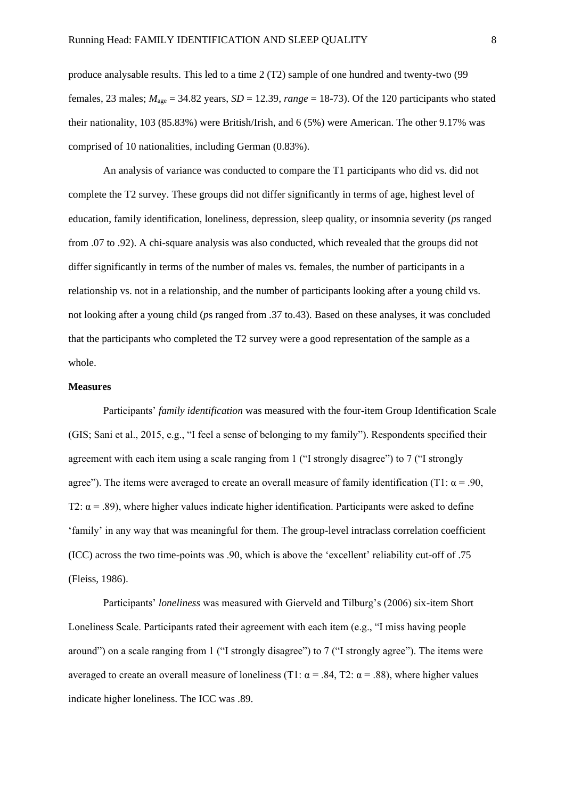produce analysable results. This led to a time 2 (T2) sample of one hundred and twenty-two (99 females, 23 males;  $M_{\text{age}} = 34.82$  years,  $SD = 12.39$ ,  $range = 18-73$ ). Of the 120 participants who stated their nationality, 103 (85.83%) were British/Irish, and 6 (5%) were American. The other 9.17% was comprised of 10 nationalities, including German (0.83%).

An analysis of variance was conducted to compare the T1 participants who did vs. did not complete the T2 survey. These groups did not differ significantly in terms of age, highest level of education, family identification, loneliness, depression, sleep quality, or insomnia severity (*p*s ranged from .07 to .92). A chi-square analysis was also conducted, which revealed that the groups did not differ significantly in terms of the number of males vs. females, the number of participants in a relationship vs. not in a relationship, and the number of participants looking after a young child vs. not looking after a young child (*p*s ranged from .37 to.43). Based on these analyses, it was concluded that the participants who completed the T2 survey were a good representation of the sample as a whole.

## **Measures**

Participants' *family identification* was measured with the four-item Group Identification Scale (GIS; Sani et al., 2015, e.g., "I feel a sense of belonging to my family"). Respondents specified their agreement with each item using a scale ranging from 1 ("I strongly disagree") to 7 ("I strongly agree"). The items were averaged to create an overall measure of family identification (T1:  $\alpha$  = .90, T2:  $\alpha$  = .89), where higher values indicate higher identification. Participants were asked to define 'family' in any way that was meaningful for them. The group-level intraclass correlation coefficient (ICC) across the two time-points was .90, which is above the 'excellent' reliability cut-off of .75 (Fleiss, 1986).

Participants' *loneliness* was measured with Gierveld and Tilburg's (2006) six-item Short Loneliness Scale. Participants rated their agreement with each item (e.g., "I miss having people around") on a scale ranging from 1 ("I strongly disagree") to 7 ("I strongly agree"). The items were averaged to create an overall measure of loneliness (T1:  $\alpha$  = .84, T2:  $\alpha$  = .88), where higher values indicate higher loneliness. The ICC was .89.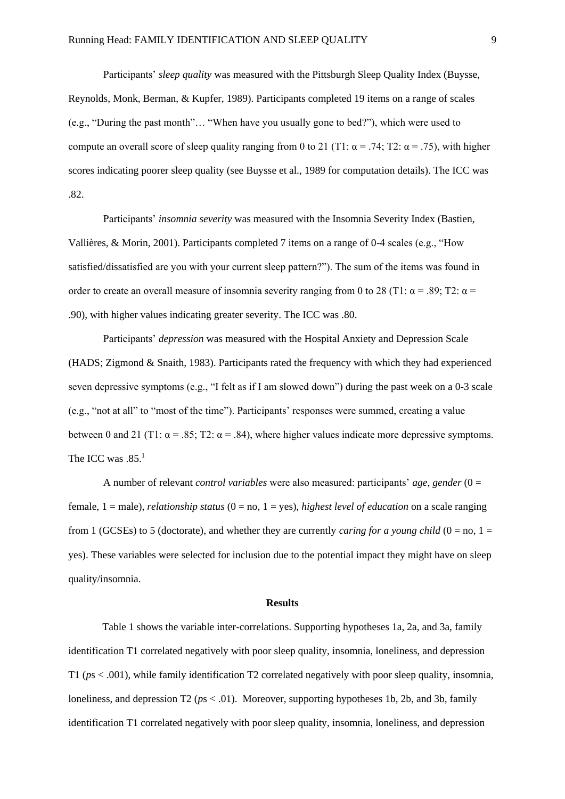Participants' *sleep quality* was measured with the Pittsburgh Sleep Quality Index (Buysse, Reynolds, Monk, Berman, & Kupfer, 1989). Participants completed 19 items on a range of scales (e.g., "During the past month"… "When have you usually gone to bed?"), which were used to compute an overall score of sleep quality ranging from 0 to 21 (T1:  $\alpha = .74$ ; T2:  $\alpha = .75$ ), with higher scores indicating poorer sleep quality (see Buysse et al., 1989 for computation details). The ICC was .82.

Participants' *insomnia severity* was measured with the Insomnia Severity Index (Bastien, Vallières, & Morin, 2001). Participants completed 7 items on a range of 0-4 scales (e.g., "How satisfied/dissatisfied are you with your current sleep pattern?"). The sum of the items was found in order to create an overall measure of insomnia severity ranging from 0 to 28 (T1:  $\alpha$  = .89; T2:  $\alpha$  = .90), with higher values indicating greater severity. The ICC was .80.

Participants' *depression* was measured with the Hospital Anxiety and Depression Scale (HADS; Zigmond & Snaith, 1983). Participants rated the frequency with which they had experienced seven depressive symptoms (e.g., "I felt as if I am slowed down") during the past week on a 0-3 scale (e.g., "not at all" to "most of the time"). Participants' responses were summed, creating a value between 0 and 21 (T1:  $\alpha$  = .85; T2:  $\alpha$  = .84), where higher values indicate more depressive symptoms. The ICC was .85.<sup>1</sup>

A number of relevant *control variables* were also measured: participants' *age*, *gender* (0 = female, 1 = male), *relationship status* (0 = no, 1 = yes), *highest level of education* on a scale ranging from 1 (GCSEs) to 5 (doctorate), and whether they are currently *caring for a young child* ( $0 = no$ ,  $1 =$ yes). These variables were selected for inclusion due to the potential impact they might have on sleep quality/insomnia.

## **Results**

Table 1 shows the variable inter-correlations. Supporting hypotheses 1a, 2a, and 3a, family identification T1 correlated negatively with poor sleep quality, insomnia, loneliness, and depression T1 (*p*s < .001), while family identification T2 correlated negatively with poor sleep quality, insomnia, loneliness, and depression T2 ( $ps < .01$ ). Moreover, supporting hypotheses 1b, 2b, and 3b, family identification T1 correlated negatively with poor sleep quality, insomnia, loneliness, and depression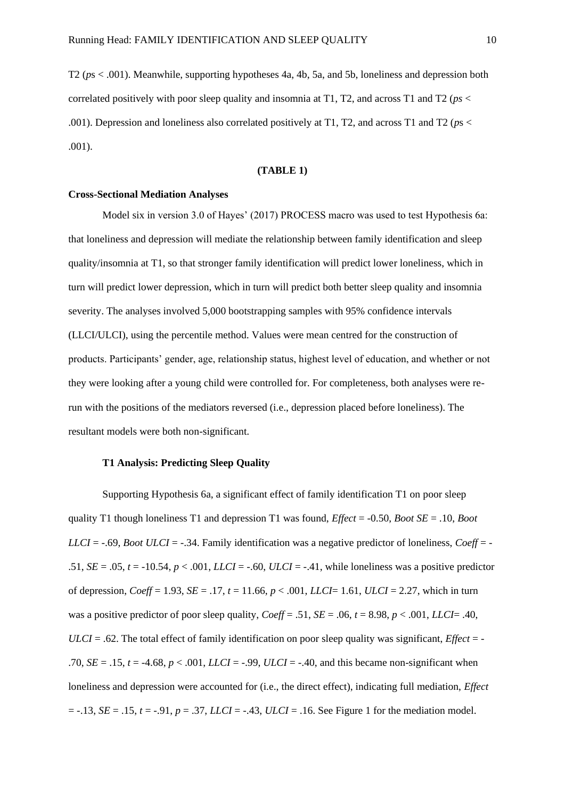T2 (*p*s < .001). Meanwhile, supporting hypotheses 4a, 4b, 5a, and 5b, loneliness and depression both correlated positively with poor sleep quality and insomnia at T1, T2, and across T1 and T2 (*ps* < .001). Depression and loneliness also correlated positively at T1, T2, and across T1 and T2 (*p*s < .001).

# **(TABLE 1)**

## **Cross-Sectional Mediation Analyses**

Model six in version 3.0 of Hayes' (2017) PROCESS macro was used to test Hypothesis 6a: that loneliness and depression will mediate the relationship between family identification and sleep quality/insomnia at T1, so that stronger family identification will predict lower loneliness, which in turn will predict lower depression, which in turn will predict both better sleep quality and insomnia severity. The analyses involved 5,000 bootstrapping samples with 95% confidence intervals (LLCI/ULCI), using the percentile method. Values were mean centred for the construction of products. Participants' gender, age, relationship status, highest level of education, and whether or not they were looking after a young child were controlled for. For completeness, both analyses were rerun with the positions of the mediators reversed (i.e., depression placed before loneliness). The resultant models were both non-significant.

## **T1 Analysis: Predicting Sleep Quality**

Supporting Hypothesis 6a, a significant effect of family identification T1 on poor sleep quality T1 though loneliness T1 and depression T1 was found, *Effect* = -0.50, *Boot SE* = .10, *Boot LLCI* =  $-.69$ , *Boot ULCI* =  $-.34$ . Family identification was a negative predictor of loneliness, *Coeff* =  $-$ .51, *SE* = .05, *t* = -10.54, *p* < .001, *LLCI* = -.60, *ULCI* = -.41, while loneliness was a positive predictor of depression,  $Coeff = 1.93$ ,  $SE = .17$ ,  $t = 11.66$ ,  $p < .001$ , *LLCI* = 1.61, *ULCI* = 2.27, which in turn was a positive predictor of poor sleep quality,  $Coeff = .51$ ,  $SE = .06$ ,  $t = 8.98$ ,  $p < .001$ , *LLCI*= .40, *ULCI* = .62. The total effect of family identification on poor sleep quality was significant, *Effect* = - .70, *SE* = .15, *t* = -4.68, *p* < .001, *LLCI* = -.99, *ULCI* = -.40, and this became non-significant when loneliness and depression were accounted for (i.e., the direct effect), indicating full mediation, *Effect*  = -.13, *SE* = .15, *t* = -.91, *p* = .37, *LLCI* = -.43, *ULCI* = .16. See Figure 1 for the mediation model.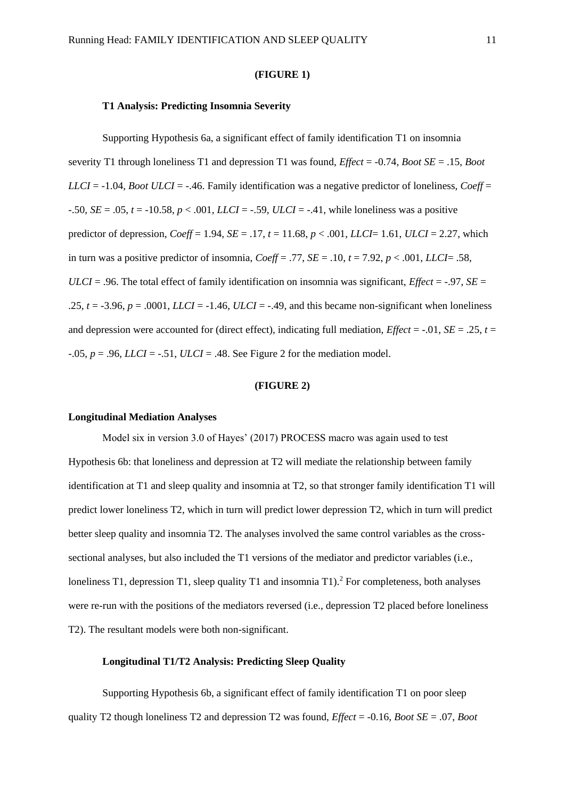#### **(FIGURE 1)**

#### **T1 Analysis: Predicting Insomnia Severity**

Supporting Hypothesis 6a, a significant effect of family identification T1 on insomnia severity T1 through loneliness T1 and depression T1 was found, *Effect* = -0.74, *Boot SE* = .15, *Boot LLCI* =  $-1.04$ , *Boot ULCI* =  $-4.46$ . Family identification was a negative predictor of loneliness, *Coeff* = -.50, *SE* = .05, *t* = -10.58, *p* < .001, *LLCI* = -.59, *ULCI* = -.41, while loneliness was a positive predictor of depression, *Coeff* = 1.94, *SE* = .17, *t* = 11.68, *p* < .001, *LLCI*= 1.61, *ULCI* = 2.27, which in turn was a positive predictor of insomnia,  $Coeff = .77$ ,  $SE = .10$ ,  $t = 7.92$ ,  $p < .001$ , *LLCI*= .58, *ULCI* = .96. The total effect of family identification on insomnia was significant, *Effect* =  $-97$ , *SE* = .25,  $t = -3.96$ ,  $p = .0001$ , *LLCI* =  $-1.46$ , *ULCI* =  $-4.49$ , and this became non-significant when loneliness and depression were accounted for (direct effect), indicating full mediation,  $Effect = -0.01$ ,  $SE = 0.25$ ,  $t = 0.01$  $-0.05$ ,  $p = 0.96$ , *LLCI* =  $-0.51$ , *ULCI* =  $0.48$ . See Figure 2 for the mediation model.

### **(FIGURE 2)**

## **Longitudinal Mediation Analyses**

Model six in version 3.0 of Hayes' (2017) PROCESS macro was again used to test Hypothesis 6b: that loneliness and depression at T2 will mediate the relationship between family identification at T1 and sleep quality and insomnia at T2, so that stronger family identification T1 will predict lower loneliness T2, which in turn will predict lower depression T2, which in turn will predict better sleep quality and insomnia T2. The analyses involved the same control variables as the crosssectional analyses, but also included the T1 versions of the mediator and predictor variables (i.e., loneliness T1, depression T1, sleep quality T1 and insomnia T1).<sup>2</sup> For completeness, both analyses were re-run with the positions of the mediators reversed (i.e., depression T2 placed before loneliness T2). The resultant models were both non-significant.

## **Longitudinal T1/T2 Analysis: Predicting Sleep Quality**

Supporting Hypothesis 6b, a significant effect of family identification T1 on poor sleep quality T2 though loneliness T2 and depression T2 was found, *Effect* = -0.16, *Boot SE* = .07, *Boot*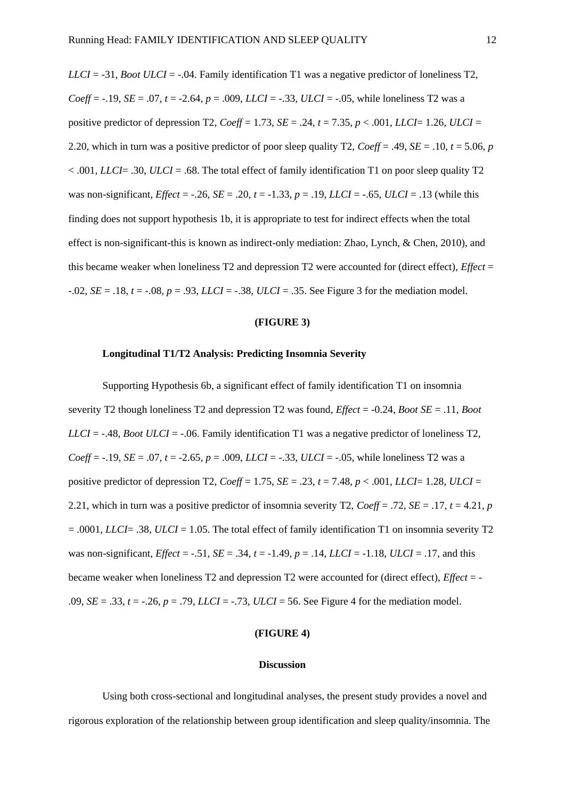*LLCI* = -31, *Boot ULCI* = -.04. Family identification T1 was a negative predictor of loneliness T2, *Coeff* = -.19, *SE* = .07, *t* = -2.64, *p* = .009, *LLCI* = -.33, *ULCI* = -.05, while loneliness T2 was a positive predictor of depression T2,  $Coeff = 1.73$ ,  $SE = .24$ ,  $t = 7.35$ ,  $p < .001$ , *LLCI*= 1.26, *ULCI* = 2.20, which in turn was a positive predictor of poor sleep quality T2,  $Coeff = .49$ ,  $SE = .10$ ,  $t = 5.06$ , *p*  $< .001$ , *LLCI*= .30, *ULCI* = .68. The total effect of family identification T1 on poor sleep quality T2 was non-significant, *Effect* = -.26, *SE* = .20,  $t = -1.33$ ,  $p = .19$ , *LLCI* = -.65, *ULCI* = .13 (while this finding does not support hypothesis 1b, it is appropriate to test for indirect effects when the total effect is non-significant-this is known as indirect-only mediation: Zhao, Lynch, & Chen, 2010), and this became weaker when loneliness T2 and depression T2 were accounted for (direct effect), *Effect* = -.02, *SE* = .18, *t* = -.08, *p* = .93, *LLCI* = -.38, *ULCI* = .35. See Figure 3 for the mediation model.

# **(FIGURE 3)**

### **Longitudinal T1/T2 Analysis: Predicting Insomnia Severity**

Supporting Hypothesis 6b, a significant effect of family identification T1 on insomnia severity T2 though loneliness T2 and depression T2 was found, *Effect* = -0.24, *Boot SE* = .11, *Boot LLCI* = -.48, *Boot ULCI* = -.06. Family identification T1 was a negative predictor of loneliness T2, *Coeff* = -.19, *SE* = .07, *t* = -2.65, *p* = .009, *LLCI* = -.33, *ULCI* = -.05, while loneliness T2 was a positive predictor of depression T2,  $Coeff = 1.75$ ,  $SE = .23$ ,  $t = 7.48$ ,  $p < .001$ , *LLCI*= 1.28, *ULCI* = 2.21, which in turn was a positive predictor of insomnia severity T2, *Coeff* = .72, *SE* = .17,  $t = 4.21$ , *p* = .0001, *LLCI*= .38, *ULCI* = 1.05. The total effect of family identification T1 on insomnia severity T2 was non-significant, *Effect* = -.51, *SE* = .34, *t* = -1.49, *p* = .14, *LLCI* = -1.18, *ULCI* = .17, and this became weaker when loneliness T2 and depression T2 were accounted for (direct effect), *Effect* = - .09, *SE* = .33, *t* = -.26, *p* = .79, *LLCI* = -.73, *ULCI* = 56. See Figure 4 for the mediation model.

### **(FIGURE 4)**

#### **Discussion**

Using both cross-sectional and longitudinal analyses, the present study provides a novel and rigorous exploration of the relationship between group identification and sleep quality/insomnia. The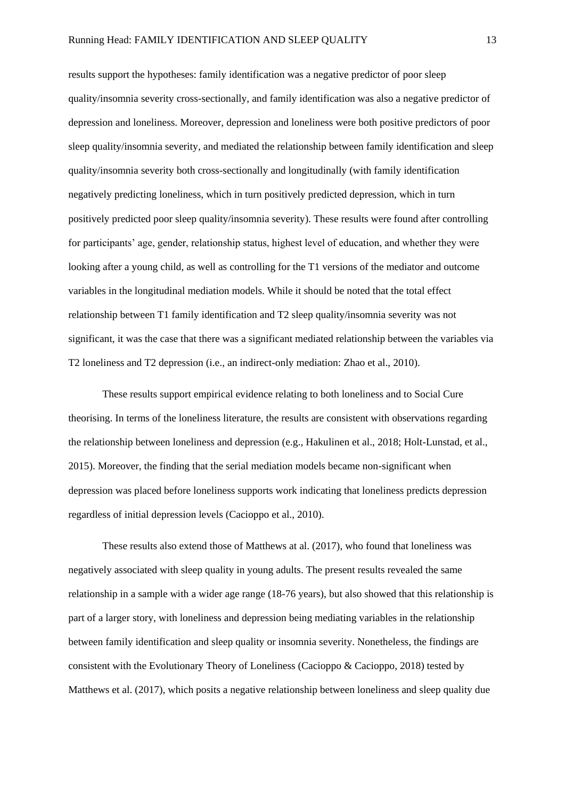results support the hypotheses: family identification was a negative predictor of poor sleep quality/insomnia severity cross-sectionally, and family identification was also a negative predictor of depression and loneliness. Moreover, depression and loneliness were both positive predictors of poor sleep quality/insomnia severity, and mediated the relationship between family identification and sleep quality/insomnia severity both cross-sectionally and longitudinally (with family identification negatively predicting loneliness, which in turn positively predicted depression, which in turn positively predicted poor sleep quality/insomnia severity). These results were found after controlling for participants' age, gender, relationship status, highest level of education, and whether they were looking after a young child, as well as controlling for the T1 versions of the mediator and outcome variables in the longitudinal mediation models. While it should be noted that the total effect relationship between T1 family identification and T2 sleep quality/insomnia severity was not significant, it was the case that there was a significant mediated relationship between the variables via T2 loneliness and T2 depression (i.e., an indirect-only mediation: Zhao et al., 2010).

These results support empirical evidence relating to both loneliness and to Social Cure theorising. In terms of the loneliness literature, the results are consistent with observations regarding the relationship between loneliness and depression (e.g., Hakulinen et al., 2018; Holt-Lunstad, et al., 2015). Moreover, the finding that the serial mediation models became non-significant when depression was placed before loneliness supports work indicating that loneliness predicts depression regardless of initial depression levels (Cacioppo et al., 2010).

These results also extend those of Matthews at al. (2017), who found that loneliness was negatively associated with sleep quality in young adults. The present results revealed the same relationship in a sample with a wider age range (18-76 years), but also showed that this relationship is part of a larger story, with loneliness and depression being mediating variables in the relationship between family identification and sleep quality or insomnia severity. Nonetheless, the findings are consistent with the Evolutionary Theory of Loneliness (Cacioppo & Cacioppo, 2018) tested by Matthews et al. (2017), which posits a negative relationship between loneliness and sleep quality due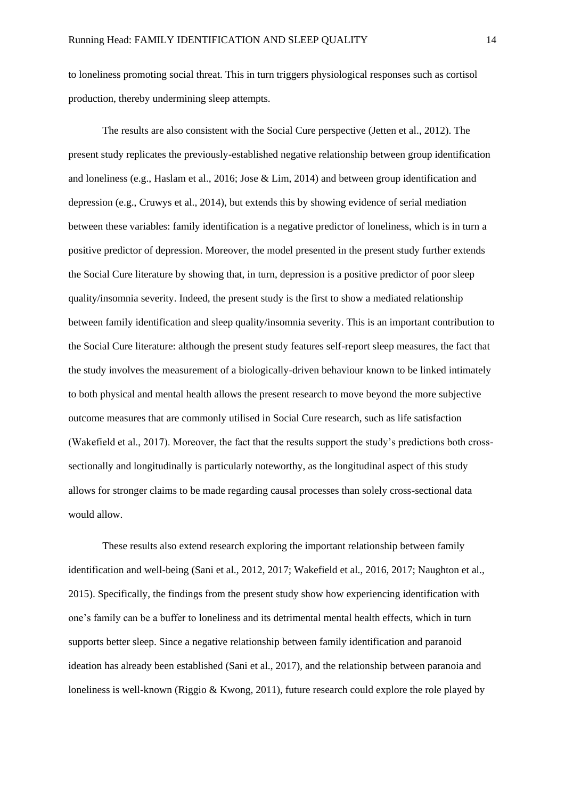to loneliness promoting social threat. This in turn triggers physiological responses such as cortisol production, thereby undermining sleep attempts.

The results are also consistent with the Social Cure perspective (Jetten et al., 2012). The present study replicates the previously-established negative relationship between group identification and loneliness (e.g., Haslam et al., 2016; Jose & Lim, 2014) and between group identification and depression (e.g., Cruwys et al., 2014), but extends this by showing evidence of serial mediation between these variables: family identification is a negative predictor of loneliness, which is in turn a positive predictor of depression. Moreover, the model presented in the present study further extends the Social Cure literature by showing that, in turn, depression is a positive predictor of poor sleep quality/insomnia severity. Indeed, the present study is the first to show a mediated relationship between family identification and sleep quality/insomnia severity. This is an important contribution to the Social Cure literature: although the present study features self-report sleep measures, the fact that the study involves the measurement of a biologically-driven behaviour known to be linked intimately to both physical and mental health allows the present research to move beyond the more subjective outcome measures that are commonly utilised in Social Cure research, such as life satisfaction (Wakefield et al., 2017). Moreover, the fact that the results support the study's predictions both crosssectionally and longitudinally is particularly noteworthy, as the longitudinal aspect of this study allows for stronger claims to be made regarding causal processes than solely cross-sectional data would allow.

These results also extend research exploring the important relationship between family identification and well-being (Sani et al., 2012, 2017; Wakefield et al., 2016, 2017; Naughton et al., 2015). Specifically, the findings from the present study show how experiencing identification with one's family can be a buffer to loneliness and its detrimental mental health effects, which in turn supports better sleep. Since a negative relationship between family identification and paranoid ideation has already been established (Sani et al., 2017), and the relationship between paranoia and loneliness is well-known (Riggio & Kwong, 2011), future research could explore the role played by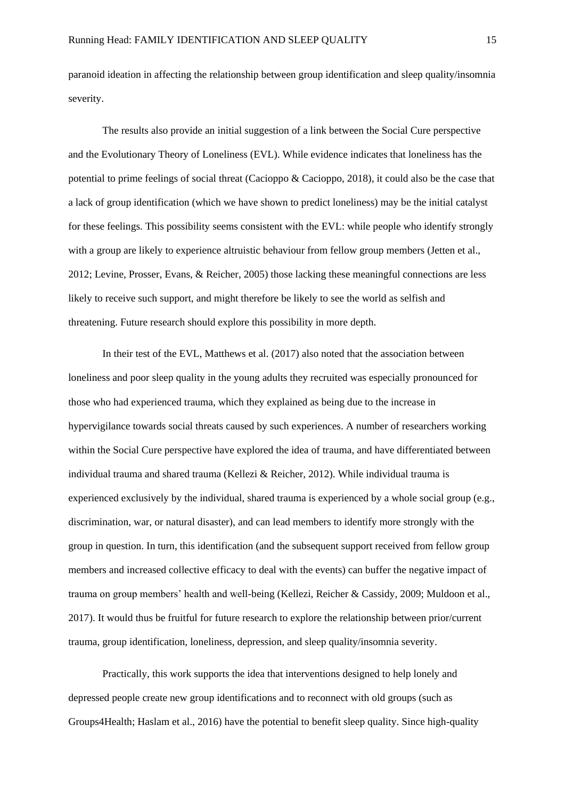paranoid ideation in affecting the relationship between group identification and sleep quality/insomnia severity.

The results also provide an initial suggestion of a link between the Social Cure perspective and the Evolutionary Theory of Loneliness (EVL). While evidence indicates that loneliness has the potential to prime feelings of social threat (Cacioppo & Cacioppo, 2018), it could also be the case that a lack of group identification (which we have shown to predict loneliness) may be the initial catalyst for these feelings. This possibility seems consistent with the EVL: while people who identify strongly with a group are likely to experience altruistic behaviour from fellow group members (Jetten et al., 2012; Levine, Prosser, Evans, & Reicher, 2005) those lacking these meaningful connections are less likely to receive such support, and might therefore be likely to see the world as selfish and threatening. Future research should explore this possibility in more depth.

In their test of the EVL, Matthews et al. (2017) also noted that the association between loneliness and poor sleep quality in the young adults they recruited was especially pronounced for those who had experienced trauma, which they explained as being due to the increase in hypervigilance towards social threats caused by such experiences. A number of researchers working within the Social Cure perspective have explored the idea of trauma, and have differentiated between individual trauma and shared trauma (Kellezi & Reicher, 2012). While individual trauma is experienced exclusively by the individual, shared trauma is experienced by a whole social group (e.g., discrimination, war, or natural disaster), and can lead members to identify more strongly with the group in question. In turn, this identification (and the subsequent support received from fellow group members and increased collective efficacy to deal with the events) can buffer the negative impact of trauma on group members' health and well-being (Kellezi, Reicher & Cassidy, 2009; Muldoon et al., 2017). It would thus be fruitful for future research to explore the relationship between prior/current trauma, group identification, loneliness, depression, and sleep quality/insomnia severity.

Practically, this work supports the idea that interventions designed to help lonely and depressed people create new group identifications and to reconnect with old groups (such as Groups4Health; Haslam et al., 2016) have the potential to benefit sleep quality. Since high-quality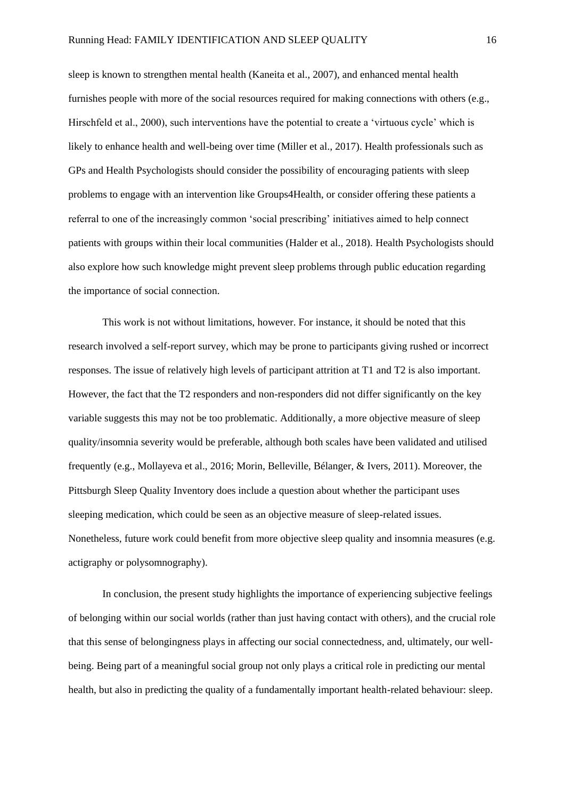sleep is known to strengthen mental health (Kaneita et al., 2007), and enhanced mental health furnishes people with more of the social resources required for making connections with others (e.g., Hirschfeld et al., 2000), such interventions have the potential to create a 'virtuous cycle' which is likely to enhance health and well-being over time (Miller et al., 2017). Health professionals such as GPs and Health Psychologists should consider the possibility of encouraging patients with sleep problems to engage with an intervention like Groups4Health, or consider offering these patients a referral to one of the increasingly common 'social prescribing' initiatives aimed to help connect patients with groups within their local communities (Halder et al., 2018). Health Psychologists should also explore how such knowledge might prevent sleep problems through public education regarding the importance of social connection.

This work is not without limitations, however. For instance, it should be noted that this research involved a self-report survey, which may be prone to participants giving rushed or incorrect responses. The issue of relatively high levels of participant attrition at T1 and T2 is also important. However, the fact that the T2 responders and non-responders did not differ significantly on the key variable suggests this may not be too problematic. Additionally, a more objective measure of sleep quality/insomnia severity would be preferable, although both scales have been validated and utilised frequently (e.g., Mollayeva et al., 2016; Morin, Belleville, Bélanger, & Ivers, 2011). Moreover, the Pittsburgh Sleep Quality Inventory does include a question about whether the participant uses sleeping medication, which could be seen as an objective measure of sleep-related issues. Nonetheless, future work could benefit from more objective sleep quality and insomnia measures (e.g. actigraphy or polysomnography).

In conclusion, the present study highlights the importance of experiencing subjective feelings of belonging within our social worlds (rather than just having contact with others), and the crucial role that this sense of belongingness plays in affecting our social connectedness, and, ultimately, our wellbeing. Being part of a meaningful social group not only plays a critical role in predicting our mental health, but also in predicting the quality of a fundamentally important health-related behaviour: sleep.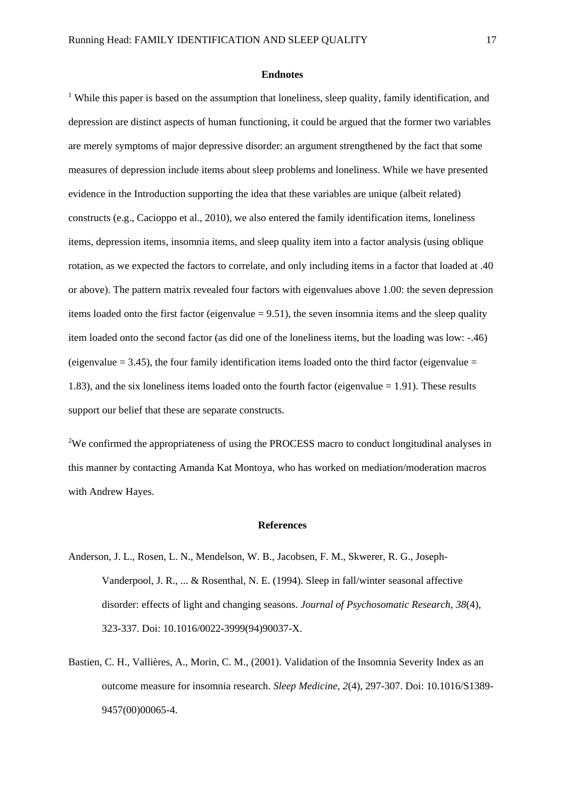#### **Endnotes**

<sup>1</sup> While this paper is based on the assumption that loneliness, sleep quality, family identification, and depression are distinct aspects of human functioning, it could be argued that the former two variables are merely symptoms of major depressive disorder: an argument strengthened by the fact that some measures of depression include items about sleep problems and loneliness. While we have presented evidence in the Introduction supporting the idea that these variables are unique (albeit related) constructs (e.g., Cacioppo et al., 2010), we also entered the family identification items, loneliness items, depression items, insomnia items, and sleep quality item into a factor analysis (using oblique rotation, as we expected the factors to correlate, and only including items in a factor that loaded at .40 or above). The pattern matrix revealed four factors with eigenvalues above 1.00: the seven depression items loaded onto the first factor (eigenvalue = 9.51), the seven insomnia items and the sleep quality item loaded onto the second factor (as did one of the loneliness items, but the loading was low: -.46) (eigenvalue  $= 3.45$ ), the four family identification items loaded onto the third factor (eigenvalue  $=$ 1.83), and the six loneliness items loaded onto the fourth factor (eigenvalue = 1.91). These results support our belief that these are separate constructs.

<sup>2</sup>We confirmed the appropriateness of using the PROCESS macro to conduct longitudinal analyses in this manner by contacting Amanda Kat Montoya, who has worked on mediation/moderation macros with Andrew Hayes.

## **References**

- Anderson, J. L., Rosen, L. N., Mendelson, W. B., Jacobsen, F. M., Skwerer, R. G., Joseph-Vanderpool, J. R., ... & Rosenthal, N. E. (1994). Sleep in fall/winter seasonal affective disorder: effects of light and changing seasons. *Journal of Psychosomatic Research*, *38*(4), 323-337. Doi: 10.1016/0022-3999(94)90037-X.
- Bastien, C. H., Vallières, A., Morin, C. M., (2001). Validation of the Insomnia Severity Index as an outcome measure for insomnia research. *Sleep Medicine*, *2*(4), 297-307. Doi: 10.1016/S1389- 9457(00)00065-4.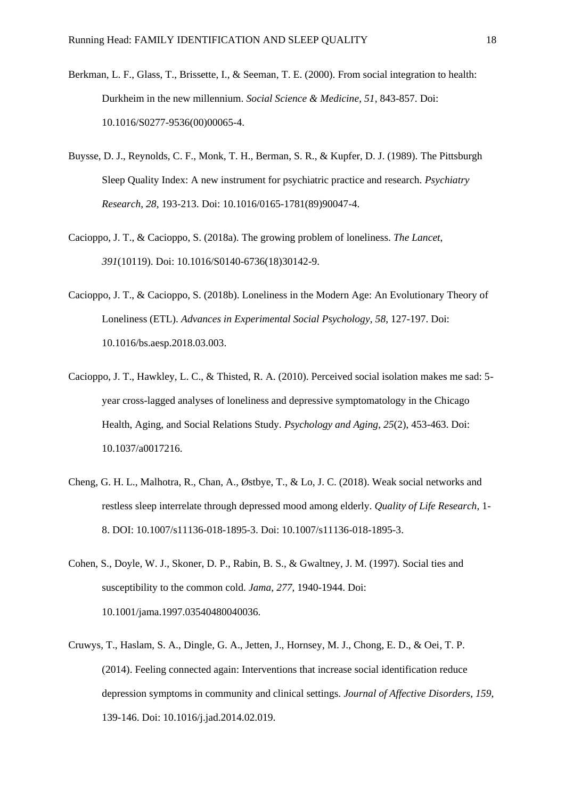- Berkman, L. F., Glass, T., Brissette, I., & Seeman, T. E. (2000). From social integration to health: Durkheim in the new millennium. *Social Science & Medicine*, *51*, 843-857. Doi: 10.1016/S0277-9536(00)00065-4.
- Buysse, D. J., Reynolds, C. F., Monk, T. H., Berman, S. R., & Kupfer, D. J. (1989). The Pittsburgh Sleep Quality Index: A new instrument for psychiatric practice and research. *Psychiatry Research*, *28*, 193-213. Doi: 10.1016/0165-1781(89)90047-4.
- Cacioppo, J. T., & Cacioppo, S. (2018a). The growing problem of loneliness. *The Lancet*, *391*(10119). Doi: 10.1016/S0140-6736(18)30142-9.
- Cacioppo, J. T., & Cacioppo, S. (2018b). Loneliness in the Modern Age: An Evolutionary Theory of Loneliness (ETL). *Advances in Experimental Social Psychology*, *58*, 127-197. Doi: 10.1016/bs.aesp.2018.03.003.
- Cacioppo, J. T., Hawkley, L. C., & Thisted, R. A. (2010). Perceived social isolation makes me sad: 5 year cross-lagged analyses of loneliness and depressive symptomatology in the Chicago Health, Aging, and Social Relations Study. *Psychology and Aging*, *25*(2), 453-463. Doi: 10.1037/a0017216.
- Cheng, G. H. L., Malhotra, R., Chan, A., Østbye, T., & Lo, J. C. (2018). Weak social networks and restless sleep interrelate through depressed mood among elderly. *Quality of Life Research*, 1- 8. DOI: 10.1007/s11136-018-1895-3. Doi: 10.1007/s11136-018-1895-3.
- Cohen, S., Doyle, W. J., Skoner, D. P., Rabin, B. S., & Gwaltney, J. M. (1997). Social ties and susceptibility to the common cold. *Jama*, *277*, 1940-1944. Doi: 10.1001/jama.1997.03540480040036.
- Cruwys, T., Haslam, S. A., Dingle, G. A., Jetten, J., Hornsey, M. J., Chong, E. D., & Oei, T. P. (2014). Feeling connected again: Interventions that increase social identification reduce depression symptoms in community and clinical settings. *Journal of Affective Disorders*, *159*, 139-146. Doi: 10.1016/j.jad.2014.02.019.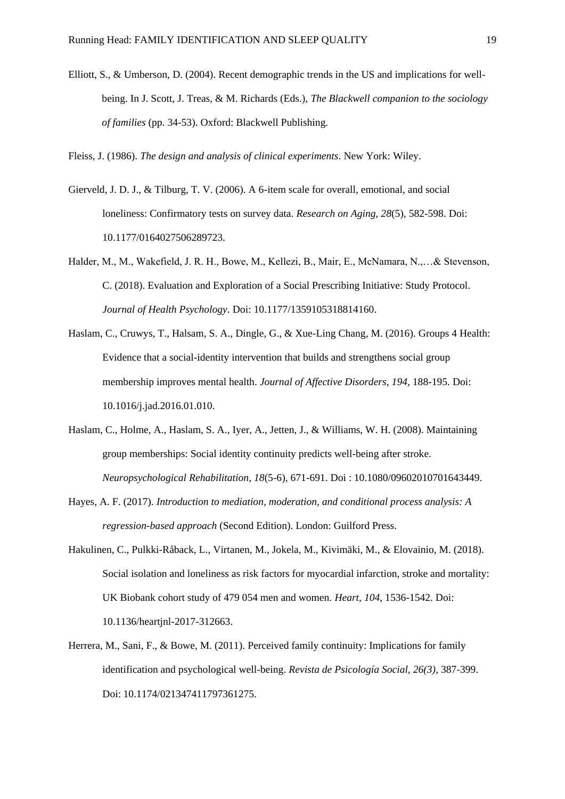Elliott, S., & Umberson, D. (2004). Recent demographic trends in the US and implications for wellbeing. In J. Scott, J. Treas, & M. Richards (Eds.), *The Blackwell companion to the sociology of families* (pp. 34-53). Oxford: Blackwell Publishing.

Fleiss, J. (1986). *The design and analysis of clinical experiments*. New York: Wiley.

- Gierveld, J. D. J., & Tilburg, T. V. (2006). A 6-item scale for overall, emotional, and social loneliness: Confirmatory tests on survey data. *Research on Aging*, *28*(5), 582-598. Doi: 10.1177/0164027506289723.
- Halder, M., M., Wakefield, J. R. H., Bowe, M., Kellezi, B., Mair, E., McNamara, N.,…& Stevenson, C. (2018). Evaluation and Exploration of a Social Prescribing Initiative: Study Protocol. *Journal of Health Psychology*. Doi: [10.1177/1359105318814160.](https://doi.org/10.1177/1359105318814160)
- Haslam, C., Cruwys, T., Halsam, S. A., Dingle, G., & Xue-Ling Chang, M. (2016). Groups 4 Health: Evidence that a social-identity intervention that builds and strengthens social group membership improves mental health. *Journal of Affective Disorders*, *194*, 188-195. Doi: 10.1016/j.jad.2016.01.010.
- Haslam, C., Holme, A., Haslam, S. A., Iyer, A., Jetten, J., & Williams, W. H. (2008). Maintaining group memberships: Social identity continuity predicts well-being after stroke. *Neuropsychological Rehabilitation*, *18*(5-6), 671-691. Doi : 10.1080/09602010701643449.
- Hayes, A. F. (2017). *Introduction to mediation, moderation, and conditional process analysis: A regression-based approach* (Second Edition). London: Guilford Press.
- Hakulinen, C., Pulkki-Råback, L., Virtanen, M., Jokela, M., Kivimäki, M., & Elovainio, M. (2018). Social isolation and loneliness as risk factors for myocardial infarction, stroke and mortality: UK Biobank cohort study of 479 054 men and women. *Heart*, *104*, 1536-1542. Doi: 10.1136/heartjnl-2017-312663.
- Herrera, M., Sani, F., & Bowe, M. (2011). Perceived family continuity: Implications for family identification and psychological well-being. *Revista de Psicología Social, 26(3)*, 387-399. Doi: 10.1174/021347411797361275.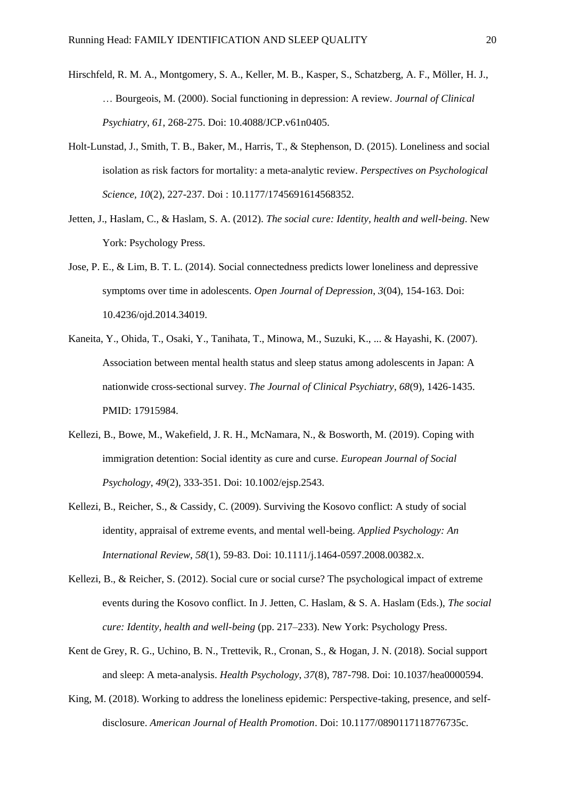- Hirschfeld, R. M. A., Montgomery, S. A., Keller, M. B., Kasper, S., Schatzberg, A. F., Möller, H. J., … Bourgeois, M. (2000). Social functioning in depression: A review. *Journal of Clinical Psychiatry*, *61*, 268-275. Doi: 10.4088/JCP.v61n0405.
- Holt-Lunstad, J., Smith, T. B., Baker, M., Harris, T., & Stephenson, D. (2015). Loneliness and social isolation as risk factors for mortality: a meta-analytic review. *Perspectives on Psychological Science, 10*(2), 227-237. Doi : 10.1177/1745691614568352.
- Jetten, J., Haslam, C., & Haslam, S. A. (2012). *The social cure: Identity, health and well-being*. New York: Psychology Press.
- Jose, P. E., & Lim, B. T. L. (2014). Social connectedness predicts lower loneliness and depressive symptoms over time in adolescents. *Open Journal of Depression*, *3*(04), 154-163. Doi: 10.4236/ojd.2014.34019.
- Kaneita, Y., Ohida, T., Osaki, Y., Tanihata, T., Minowa, M., Suzuki, K., ... & Hayashi, K. (2007). Association between mental health status and sleep status among adolescents in Japan: A nationwide cross-sectional survey. *The Journal of Clinical Psychiatry*, *68*(9), 1426-1435. PMID: 17915984.
- Kellezi, B., Bowe, M., Wakefield, J. R. H., McNamara, N., & Bosworth, M. (2019). Coping with immigration detention: Social identity as cure and curse. *European Journal of Social Psychology*, *49*(2), 333-351. Doi: 10.1002/ejsp.2543.
- Kellezi, B., Reicher, S., & Cassidy, C. (2009). Surviving the Kosovo conflict: A study of social identity, appraisal of extreme events, and mental well-being. *Applied Psychology: An International Review*, *58*(1), 59-83. Doi: 10.1111/j.1464-0597.2008.00382.x.
- Kellezi, B., & Reicher, S. (2012). Social cure or social curse? The psychological impact of extreme events during the Kosovo conflict. In J. Jetten, C. Haslam, & S. A. Haslam (Eds.), *The social cure: Identity, health and well-being* (pp. 217–233). New York: Psychology Press.
- Kent de Grey, R. G., Uchino, B. N., Trettevik, R., Cronan, S., & Hogan, J. N. (2018). Social support and sleep: A meta-analysis. *Health Psychology*, *37*(8), 787-798. Doi: 10.1037/hea0000594.
- King, M. (2018). Working to address the loneliness epidemic: Perspective-taking, presence, and selfdisclosure. *American Journal of Health Promotion*. Doi: 10.1177/0890117118776735c.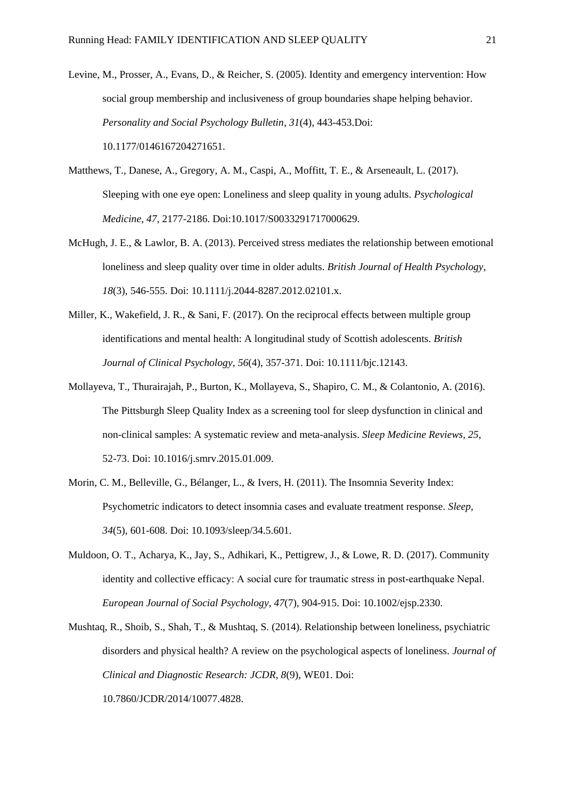- Levine, M., Prosser, A., Evans, D., & Reicher, S. (2005). Identity and emergency intervention: How social group membership and inclusiveness of group boundaries shape helping behavior. *Personality and Social Psychology Bulletin*, *31*(4), 443-453.Doi: 10.1177/0146167204271651.
- Matthews, T., Danese, A., Gregory, A. M., Caspi, A., Moffitt, T. E., & Arseneault, L. (2017). Sleeping with one eye open: Loneliness and sleep quality in young adults. *Psychological Medicine*, *47*, 2177-2186. Doi:10.1017/S0033291717000629.
- McHugh, J. E., & Lawlor, B. A. (2013). Perceived stress mediates the relationship between emotional loneliness and sleep quality over time in older adults. *British Journal of Health Psychology*, *18*(3), 546-555. Doi: 10.1111/j.2044-8287.2012.02101.x.
- Miller, K., Wakefield, J. R., & Sani, F. (2017). On the reciprocal effects between multiple group identifications and mental health: A longitudinal study of Scottish adolescents. *British Journal of Clinical Psychology*, *56*(4), 357-371. Doi: 10.1111/bjc.12143.
- Mollayeva, T., Thurairajah, P., Burton, K., Mollayeva, S., Shapiro, C. M., & Colantonio, A. (2016). The Pittsburgh Sleep Quality Index as a screening tool for sleep dysfunction in clinical and non-clinical samples: A systematic review and meta-analysis. *Sleep Medicine Reviews*, *25*, 52-73. Doi: 10.1016/j.smrv.2015.01.009.
- Morin, C. M., Belleville, G., Bélanger, L., & Ivers, H. (2011). The Insomnia Severity Index: Psychometric indicators to detect insomnia cases and evaluate treatment response. *Sleep*, *34*(5), 601-608. Doi: 10.1093/sleep/34.5.601.
- Muldoon, O. T., Acharya, K., Jay, S., Adhikari, K., Pettigrew, J., & Lowe, R. D. (2017). Community identity and collective efficacy: A social cure for traumatic stress in post-earthquake Nepal. *European Journal of Social Psychology*, *47*(7), 904-915. Doi: 10.1002/ejsp.2330.
- Mushtaq, R., Shoib, S., Shah, T., & Mushtaq, S. (2014). Relationship between loneliness, psychiatric disorders and physical health? A review on the psychological aspects of loneliness. *Journal of Clinical and Diagnostic Research: JCDR*, *8*(9), WE01. Doi: 10.7860/JCDR/2014/10077.4828.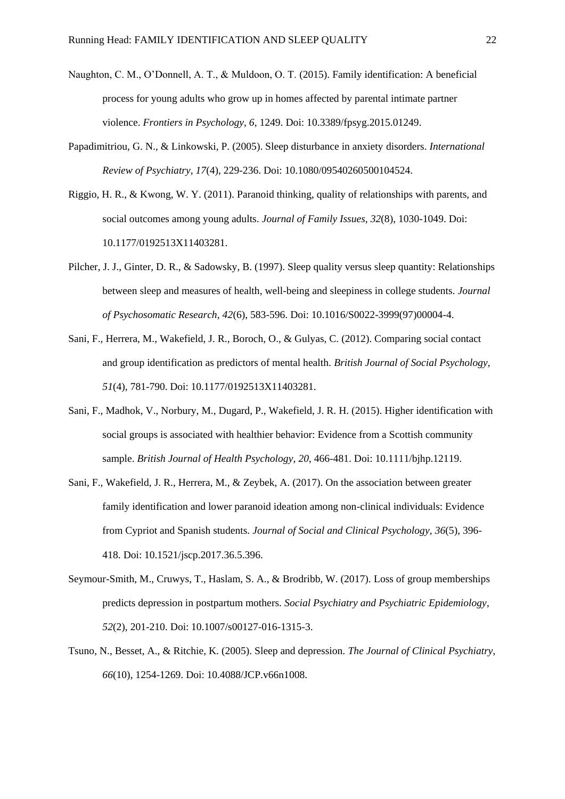- Naughton, C. M., O'Donnell, A. T., & Muldoon, O. T. (2015). Family identification: A beneficial process for young adults who grow up in homes affected by parental intimate partner violence. *Frontiers in Psychology*, *6*, 1249. Doi: 10.3389/fpsyg.2015.01249.
- Papadimitriou, G. N., & Linkowski, P. (2005). Sleep disturbance in anxiety disorders. *International Review of Psychiatry*, *17*(4), 229-236. Doi: 10.1080/09540260500104524.
- Riggio, H. R., & Kwong, W. Y. (2011). Paranoid thinking, quality of relationships with parents, and social outcomes among young adults. *Journal of Family Issues*, *32*(8), 1030-1049. Doi: 10.1177/0192513X11403281.
- Pilcher, J. J., Ginter, D. R., & Sadowsky, B. (1997). Sleep quality versus sleep quantity: Relationships between sleep and measures of health, well-being and sleepiness in college students. *Journal of Psychosomatic Research, 42*(6), 583-596. Doi: 10.1016/S0022-3999(97)00004-4.
- Sani, F., Herrera, M., Wakefield, J. R., Boroch, O., & Gulyas, C. (2012). Comparing social contact and group identification as predictors of mental health. *British Journal of Social Psychology*, *51*(4), 781-790. Doi: 10.1177/0192513X11403281.
- Sani, F., Madhok, V., Norbury, M., Dugard, P., Wakefield, J. R. H. (2015). Higher identification with social groups is associated with healthier behavior: Evidence from a Scottish community sample. *British Journal of Health Psychology*, *20*, 466-481. Doi: 10.1111/bjhp.12119.
- Sani, F., Wakefield, J. R., Herrera, M., & Zeybek, A. (2017). On the association between greater family identification and lower paranoid ideation among non-clinical individuals: Evidence from Cypriot and Spanish students. *Journal of Social and Clinical Psychology*, *36*(5), 396- 418. Doi: 10.1521/jscp.2017.36.5.396.
- Seymour-Smith, M., Cruwys, T., Haslam, S. A., & Brodribb, W. (2017). Loss of group memberships predicts depression in postpartum mothers. *Social Psychiatry and Psychiatric Epidemiology*, *52*(2), 201-210. Doi: 10.1007/s00127-016-1315-3.
- Tsuno, N., Besset, A., & Ritchie, K. (2005). Sleep and depression. *The Journal of Clinical Psychiatry*, *66*(10), 1254-1269. Doi: 10.4088/JCP.v66n1008.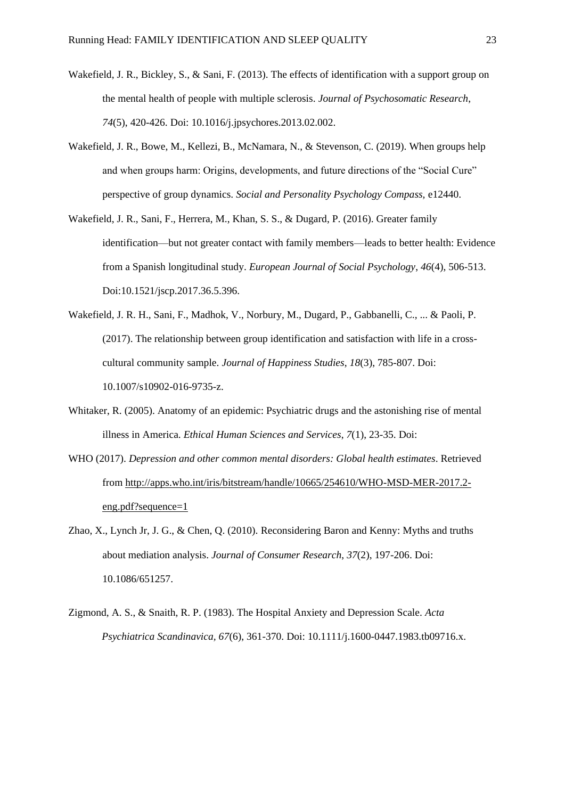- Wakefield, J. R., Bickley, S., & Sani, F. (2013). The effects of identification with a support group on the mental health of people with multiple sclerosis. *Journal of Psychosomatic Research*, *74*(5), 420-426. Doi: 10.1016/j.jpsychores.2013.02.002.
- Wakefield, J. R., Bowe, M., Kellezi, B., McNamara, N., & Stevenson, C. (2019). When groups help and when groups harm: Origins, developments, and future directions of the "Social Cure" perspective of group dynamics. *Social and Personality Psychology Compass,* e12440.
- Wakefield, J. R., Sani, F., Herrera, M., Khan, S. S., & Dugard, P. (2016). Greater family identification—but not greater contact with family members—leads to better health: Evidence from a Spanish longitudinal study. *European Journal of Social Psychology*, *46*(4), 506-513. Doi:10.1521/jscp.2017.36.5.396.
- Wakefield, J. R. H., Sani, F., Madhok, V., Norbury, M., Dugard, P., Gabbanelli, C., ... & Paoli, P. (2017). The relationship between group identification and satisfaction with life in a crosscultural community sample. *Journal of Happiness Studies*, *18*(3), 785-807. Doi: 10.1007/s10902-016-9735-z.
- Whitaker, R. (2005). Anatomy of an epidemic: Psychiatric drugs and the astonishing rise of mental illness in America. *Ethical Human Sciences and Services*, *7*(1), 23-35. Doi:
- WHO (2017). *Depression and other common mental disorders: Global health estimates*. Retrieved from [http://apps.who.int/iris/bitstream/handle/10665/254610/WHO-MSD-MER-2017.2](http://apps.who.int/iris/bitstream/handle/10665/254610/WHO-MSD-MER-2017.2-eng.pdf?sequence=1) [eng.pdf?sequence=1](http://apps.who.int/iris/bitstream/handle/10665/254610/WHO-MSD-MER-2017.2-eng.pdf?sequence=1)
- Zhao, X., Lynch Jr, J. G., & Chen, Q. (2010). Reconsidering Baron and Kenny: Myths and truths about mediation analysis. *Journal of Consumer Research*, *37*(2), 197-206. Doi: 10.1086/651257.
- Zigmond, A. S., & Snaith, R. P. (1983). The Hospital Anxiety and Depression Scale. *Acta Psychiatrica Scandinavica, 67*(6), 361-370. Doi: 10.1111/j.1600-0447.1983.tb09716.x.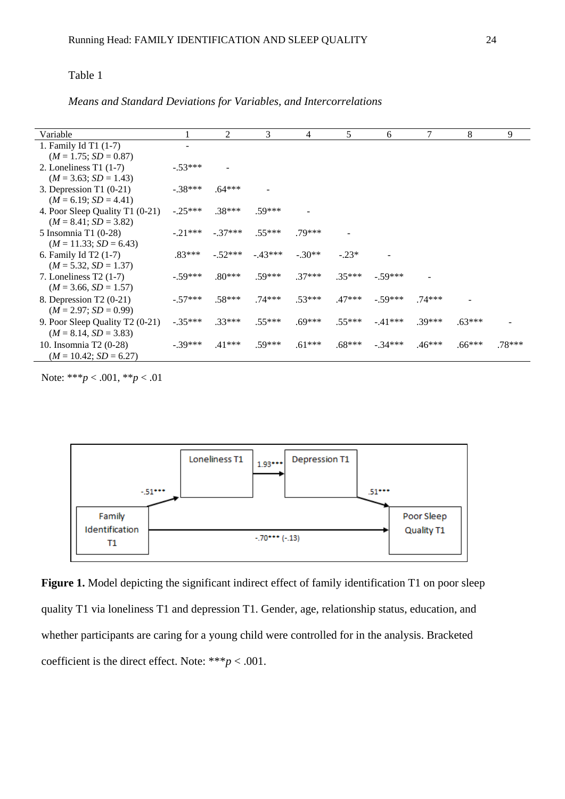# Table 1

*Means and Standard Deviations for Variables, and Intercorrelations*

| Variable                        |           | 2         | 3        | 4        | 5        | 6         | 7        | 8        | 9      |
|---------------------------------|-----------|-----------|----------|----------|----------|-----------|----------|----------|--------|
| 1. Family Id T1 (1-7)           |           |           |          |          |          |           |          |          |        |
| $(M = 1.75; SD = 0.87)$         |           |           |          |          |          |           |          |          |        |
| 2. Loneliness T1 $(1-7)$        | $-.53***$ |           |          |          |          |           |          |          |        |
| $(M = 3.63; SD = 1.43)$         |           |           |          |          |          |           |          |          |        |
| 3. Depression T1 (0-21)         | $-.38***$ | $.64***$  |          |          |          |           |          |          |        |
| $(M = 6.19; SD = 4.41)$         |           |           |          |          |          |           |          |          |        |
| 4. Poor Sleep Quality T1 (0-21) | $-.25***$ | $.38***$  | $.59***$ |          |          |           |          |          |        |
| $(M = 8.41; SD = 3.82)$         |           |           |          |          |          |           |          |          |        |
| 5 Insomnia T1 (0-28)            | $-.21***$ | $-.37***$ | $.55***$ | $.79***$ |          |           |          |          |        |
| $(M = 11.33; SD = 6.43)$        |           |           |          |          |          |           |          |          |        |
| 6. Family Id T2 (1-7)           | $.83***$  | $-.52***$ | $-43***$ | $-.30**$ | $-.23*$  |           |          |          |        |
| $(M = 5.32, SD = 1.37)$         |           |           |          |          |          |           |          |          |        |
| 7. Loneliness $T2(1-7)$         | $-.59***$ | $.80***$  | $.59***$ | $.37***$ | $.35***$ | $-.59***$ |          |          |        |
| $(M = 3.66, SD = 1.57)$         |           |           |          |          |          |           |          |          |        |
| 8. Depression T2 (0-21)         | $-.57***$ | $.58***$  | $.74***$ | $.53***$ | $.47***$ | $-.59***$ | $.74***$ |          |        |
| $(M = 2.97; SD = 0.99)$         |           |           |          |          |          |           |          |          |        |
| 9. Poor Sleep Quality T2 (0-21) | $-.35***$ | $.33***$  | $.55***$ | $.69***$ | $.55***$ | $-.41***$ | $.39***$ | $.63***$ |        |
| $(M = 8.14, SD = 3.83)$         |           |           |          |          |          |           |          |          |        |
| 10. Insomnia T2 (0-28)          | $-.39***$ | $.41***$  | $.59***$ | $.61***$ | $.68***$ | $-34***$  | $.46***$ | $.66***$ | .78*** |
| $(M = 10.42; SD = 6.27)$        |           |           |          |          |          |           |          |          |        |

Note: \*\*\**p* < .001, \*\**p* < .01



Figure 1. Model depicting the significant indirect effect of family identification T1 on poor sleep quality T1 via loneliness T1 and depression T1. Gender, age, relationship status, education, and whether participants are caring for a young child were controlled for in the analysis. Bracketed coefficient is the direct effect. Note: \*\*\* $p < .001$ .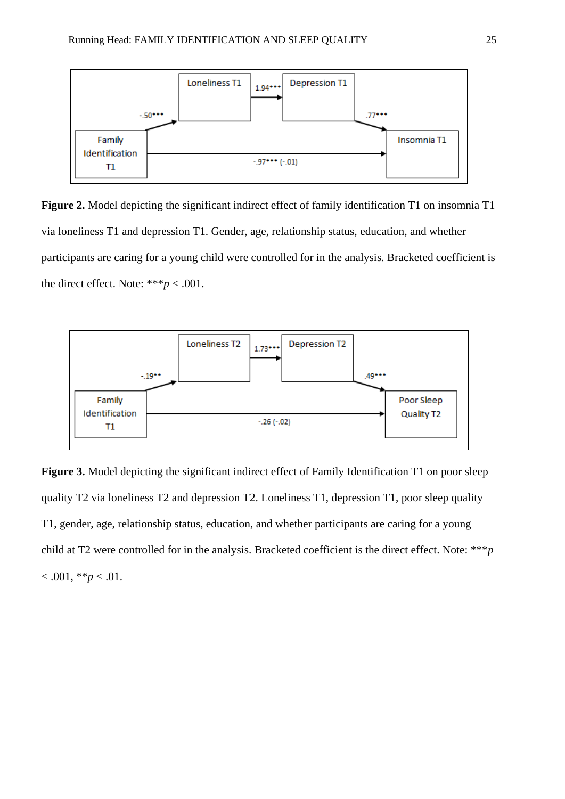

**Figure 2.** Model depicting the significant indirect effect of family identification T1 on insomnia T1 via loneliness T1 and depression T1. Gender, age, relationship status, education, and whether participants are caring for a young child were controlled for in the analysis. Bracketed coefficient is the direct effect. Note:  $***p < .001$ .



**Figure 3.** Model depicting the significant indirect effect of Family Identification T1 on poor sleep quality T2 via loneliness T2 and depression T2. Loneliness T1, depression T1, poor sleep quality T1, gender, age, relationship status, education, and whether participants are caring for a young child at T2 were controlled for in the analysis. Bracketed coefficient is the direct effect. Note: \*\*\**p*  $< .001, **p < .01.$